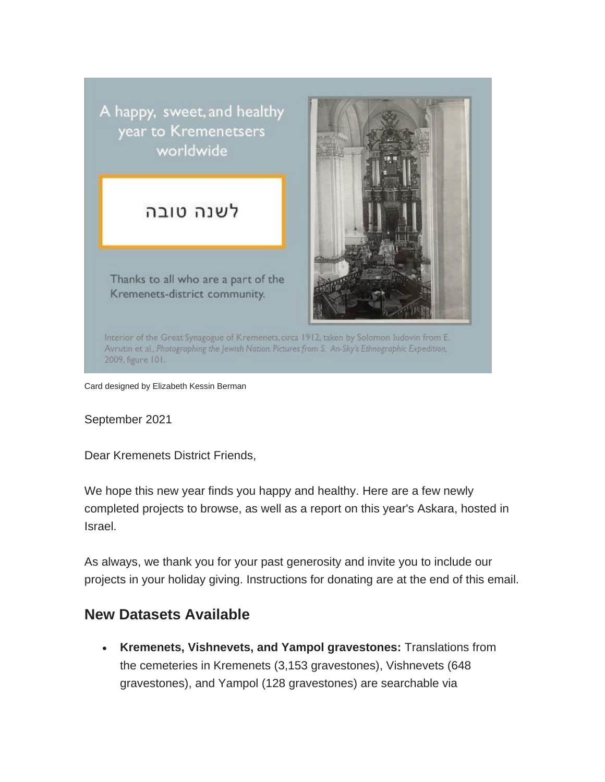A happy, sweet, and healthy year to Kremenetsers worldwide

## לשנה טובה

Thanks to all who are a part of the Kremenets-district community.



Interior of the Great Synagogue of Kremenets, circa 1912, taken by Solomon Iudovin from E. Avrutin et al., Photographing the Jewish Nation Pictures from S. An-Sky's Ethnographic Expedition, 2009, figure 101.

Card designed by Elizabeth Kessin Berman

September 2021

Dear Kremenets District Friends,

We hope this new year finds you happy and healthy. Here are a few newly completed projects to browse, as well as a report on this year's Askara, hosted in Israel.

As always, we thank you for your past generosity and invite you to include our projects in your holiday giving. Instructions for donating are at the end of this email.

## **New Datasets Available**

• **Kremenets, Vishnevets, and Yampol gravestones:** Translations from the cemeteries in Kremenets (3,153 gravestones), Vishnevets (648 gravestones), and Yampol (128 gravestones) are searchable via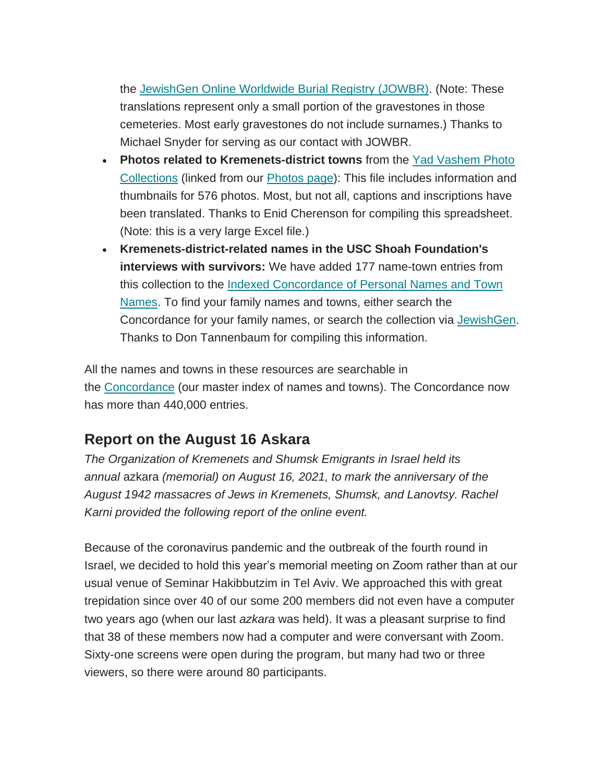the [JewishGen Online Worldwide Burial Registry \(JOWBR\).](https://www.jewishgen.org/databases/cemetery/) (Note: These translations represent only a small portion of the gravestones in those cemeteries. Most early gravestones do not include surnames.) Thanks to Michael Snyder for serving as our contact with JOWBR.

- **Photos related to Kremenets-district towns** from the [Yad Vashem Photo](https://photos.yadvashem.org/)  [Collections](https://photos.yadvashem.org/) (linked from our [Photos page\)](https://kehilalinks.jewishgen.org/Kremenets/web-pages/photos-main.html): This file includes information and thumbnails for 576 photos. Most, but not all, captions and inscriptions have been translated. Thanks to Enid Cherenson for compiling this spreadsheet. (Note: this is a very large Excel file.)
- **Kremenets-district-related names in the USC Shoah Foundation's interviews with survivors:** We have added 177 name-town entries from this collection to the [Indexed Concordance of Personal Names and Town](https://kehilalinks.jewishgen.org/Kremenets/web-pages/master-surnames.html)  [Names.](https://kehilalinks.jewishgen.org/Kremenets/web-pages/master-surnames.html) To find your family names and towns, either search the Concordance for your family names, or search the collection via **JewishGen**. Thanks to Don Tannenbaum for compiling this information.

All the names and towns in these resources are searchable in the [Concordance](https://kehilalinks.jewishgen.org/Kremenets/web-pages/master-surnames.html) (our master index of names and towns). The Concordance now has more than 440,000 entries.

## **Report on the August 16 Askara**

*The Organization of Kremenets and Shumsk Emigrants in Israel held its annual* azkara *(memorial) on August 16, 2021, to mark the anniversary of the August 1942 massacres of Jews in Kremenets, Shumsk, and Lanovtsy. Rachel Karni provided the following report of the online event.*

Because of the coronavirus pandemic and the outbreak of the fourth round in Israel, we decided to hold this year's memorial meeting on Zoom rather than at our usual venue of Seminar Hakibbutzim in Tel Aviv. We approached this with great trepidation since over 40 of our some 200 members did not even have a computer two years ago (when our last *azkara* was held). It was a pleasant surprise to find that 38 of these members now had a computer and were conversant with Zoom. Sixty-one screens were open during the program, but many had two or three viewers, so there were around 80 participants.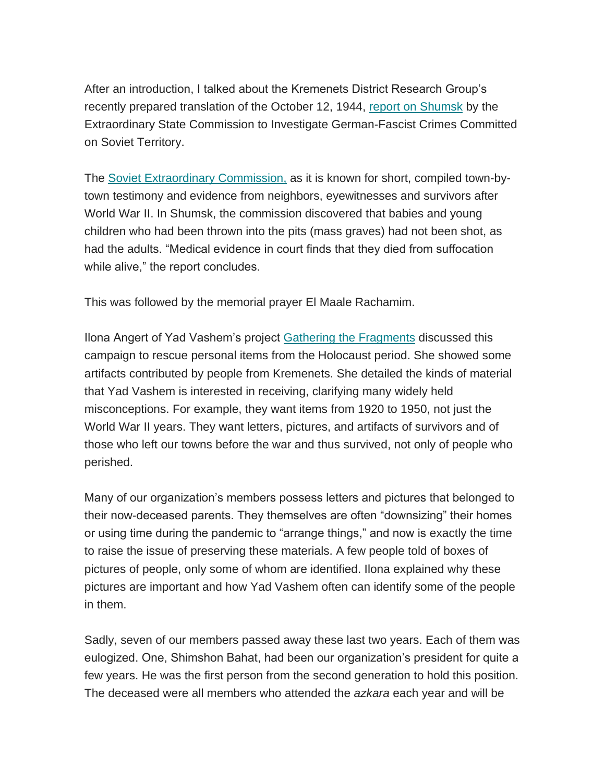After an introduction, I talked about the Kremenets District Research Group's recently prepared translation of the October 12, 1944, [report on Shumsk](http://www.kehilalinks.jewishgen.org/Kremenets/web-pages/documents/KDRG-YVA%200113,%201944%20Witnesses%20from%20Shumsk.docx) by the Extraordinary State Commission to Investigate German-Fascist Crimes Committed on Soviet Territory.

The [Soviet Extraordinary Commission,](https://www.jewishgen.org/InfoFiles/Extraordinary.htm) as it is known for short, compiled town-bytown testimony and evidence from neighbors, eyewitnesses and survivors after World War II. In Shumsk, the commission discovered that babies and young children who had been thrown into the pits (mass graves) had not been shot, as had the adults. "Medical evidence in court finds that they died from suffocation while alive," the report concludes.

This was followed by the memorial prayer El Maale Rachamim.

Ilona Angert of Yad Vashem's project [Gathering the Fragments](https://www.yadvashem.org/gathering-fragments.html) discussed this campaign to rescue personal items from the Holocaust period. She showed some artifacts contributed by people from Kremenets. She detailed the kinds of material that Yad Vashem is interested in receiving, clarifying many widely held misconceptions. For example, they want items from 1920 to 1950, not just the World War II years. They want letters, pictures, and artifacts of survivors and of those who left our towns before the war and thus survived, not only of people who perished.

Many of our organization's members possess letters and pictures that belonged to their now-deceased parents. They themselves are often "downsizing" their homes or using time during the pandemic to "arrange things," and now is exactly the time to raise the issue of preserving these materials. A few people told of boxes of pictures of people, only some of whom are identified. Ilona explained why these pictures are important and how Yad Vashem often can identify some of the people in them.

Sadly, seven of our members passed away these last two years. Each of them was eulogized. One, Shimshon Bahat, had been our organization's president for quite a few years. He was the first person from the second generation to hold this position. The deceased were all members who attended the *azkara* each year and will be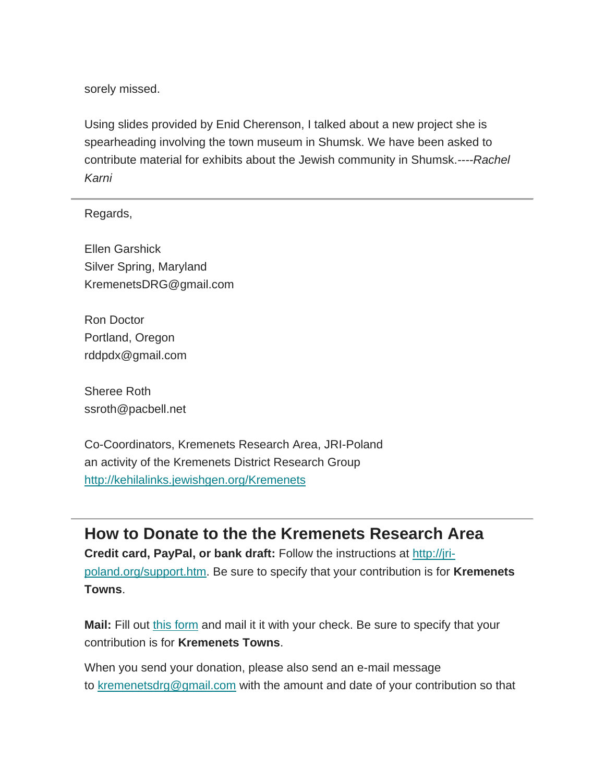sorely missed.

Using slides provided by Enid Cherenson, I talked about a new project she is spearheading involving the town museum in Shumsk. We have been asked to contribute material for exhibits about the Jewish community in Shumsk.*----Rachel Karni*

Regards,

Ellen Garshick Silver Spring, Maryland KremenetsDRG@gmail.com

Ron Doctor Portland, Oregon rddpdx@gmail.com

Sheree Roth ssroth@pacbell.net

Co-Coordinators, Kremenets Research Area, JRI-Poland an activity of the Kremenets District Research Group <http://kehilalinks.jewishgen.org/Kremenets>

**How to Donate to the the Kremenets Research Area Credit card, PayPal, or bank draft:** Follow the instructions at [http://jri](http://jri-poland.org/support.htm)[poland.org/support.htm.](http://jri-poland.org/support.htm) Be sure to specify that your contribution is for **Kremenets Towns**.

**Mail:** Fill out [this form](https://jri-poland.org/noninternetdonationform.pdf) and mail it it with your check. Be sure to specify that your contribution is for **Kremenets Towns**.

When you send your donation, please also send an e-mail message to [kremenetsdrg@gmail.com](mailto:kremenetsdrg@gmail.com) with the amount and date of your contribution so that